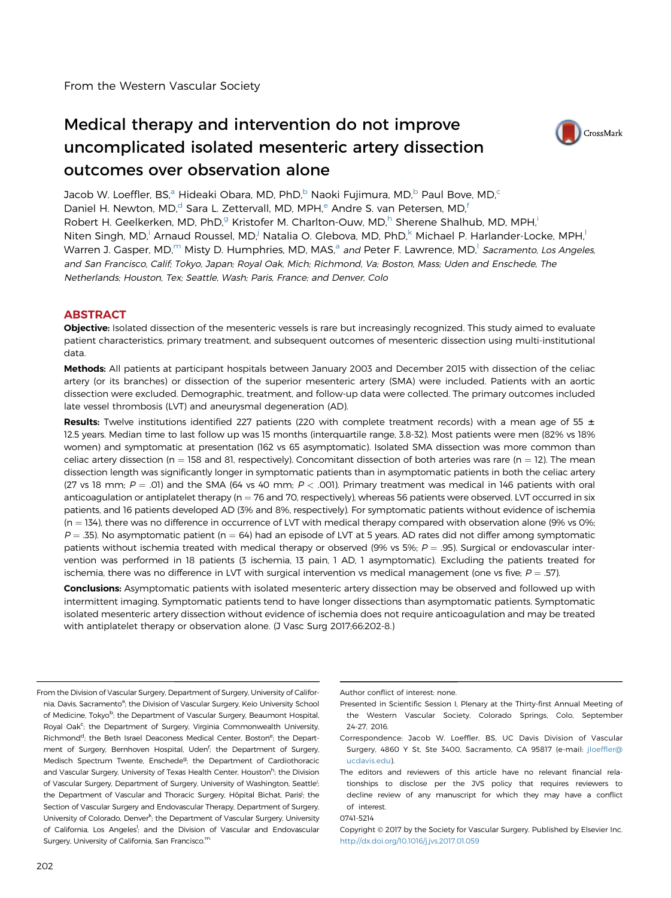# Medical therapy and intervention do not improve uncomplicated isolated mesenteric artery dissection outcomes over observation alone



Jacob W. Loeffler, BS,<sup>a</sup> Hideaki Obara, MD, PhD,<sup>b</sup> Naoki Fujimura, MD,<sup>b</sup> Paul Bove, MD,<sup>c</sup> Daniel H. Newton, MD,<sup>d</sup> Sara L. Zettervall, MD, MPH,<sup>e</sup> Andre S, van Petersen, MD,<sup>f</sup> Robert H. Geelkerken, MD, PhD,<sup>g</sup> Kristofer M. Charlton-Ouw, MD,<sup>h</sup> Sherene Shalhub, MD, MPH,<sup>i</sup> Niten Singh, MD,<sup>i</sup> Arnaud Roussel, MD,<sup>i</sup> Natalia O. Glebova, MD, PhD,<sup>k</sup> Michael P. Harlander-Locke, MPH,<sup>l</sup> Warren J. Gasper, MD,<sup>m</sup> Misty D. Humphries, MD, MAS,<sup>a</sup> and Peter F. Lawrence, MD,<sup>1</sup> Sacramento, Los Angeles, and San Francisco, Calif; Tokyo, Japan; Royal Oak, Mich; Richmond, Va; Boston, Mass; Uden and Enschede, The Netherlands; Houston, Tex; Seattle, Wash; Paris, France; and Denver, Colo

# **ABSTRACT**

Objective: Isolated dissection of the mesenteric vessels is rare but increasingly recognized. This study aimed to evaluate patient characteristics, primary treatment, and subsequent outcomes of mesenteric dissection using multi-institutional data.

Methods: All patients at participant hospitals between January 2003 and December 2015 with dissection of the celiac artery (or its branches) or dissection of the superior mesenteric artery (SMA) were included. Patients with an aortic dissection were excluded. Demographic, treatment, and follow-up data were collected. The primary outcomes included late vessel thrombosis (LVT) and aneurysmal degeneration (AD).

Results: Twelve institutions identified 227 patients (220 with complete treatment records) with a mean age of 55  $\pm$ 12.5 years. Median time to last follow up was 15 months (interquartile range, 3.8-32). Most patients were men (82% vs 18% women) and symptomatic at presentation (162 vs 65 asymptomatic). Isolated SMA dissection was more common than celiac artery dissection (n = 158 and 81, respectively). Concomitant dissection of both arteries was rare (n = 12). The mean dissection length was significantly longer in symptomatic patients than in asymptomatic patients in both the celiac artery (27 vs 18 mm;  $P = .01$ ) and the SMA (64 vs 40 mm;  $P < .001$ ). Primary treatment was medical in 146 patients with oral anticoagulation or antiplatelet therapy ( $n = 76$  and 70, respectively), whereas 56 patients were observed. LVT occurred in six patients, and 16 patients developed AD (3% and 8%, respectively). For symptomatic patients without evidence of ischemia  $(n = 134)$ , there was no difference in occurrence of LVT with medical therapy compared with observation alone (9% vs 0%;  $P = .35$ ). No asymptomatic patient (n = 64) had an episode of LVT at 5 years. AD rates did not differ among symptomatic patients without ischemia treated with medical therapy or observed (9% vs 5%;  $P = .95$ ). Surgical or endovascular intervention was performed in 18 patients (3 ischemia, 13 pain, 1 AD, 1 asymptomatic). Excluding the patients treated for ischemia, there was no difference in LVT with surgical intervention vs medical management (one vs five;  $P = .57$ ).

Conclusions: Asymptomatic patients with isolated mesenteric artery dissection may be observed and followed up with intermittent imaging. Symptomatic patients tend to have longer dissections than asymptomatic patients. Symptomatic isolated mesenteric artery dissection without evidence of ischemia does not require anticoagulation and may be treated with antiplatelet therapy or observation alone. (J Vasc Surg 2017;66:202-8.)

From the Division of Vascular Surgery, Department of Surgery, University of California, Davis, Sacramento<sup>a</sup>; the Division of Vascular Surgery, Keio University School of Medicine, Tokyo<sup>b</sup>; the Department of Vascular Surgery, Beaumont Hospital, Royal Oak<sup>c</sup>; the Department of Surgery, Virginia Commonwealth University, Richmond<sup>d</sup>; the Beth Israel Deaconess Medical Center, Boston<sup>e</sup>; the Department of Surgery, Bernhoven Hospital, Uden<sup>f</sup>; the Department of Surgery, Medisch Spectrum Twente, Enschede<sup>g</sup>; the Department of Cardiothoracic and Vascular Surgery, University of Texas Health Center, Houston<sup>h</sup>; the Division of Vascular Surgery, Department of Surgery, University of Washington, Seattle<sup>i</sup>; ; the Department of Vascular and Thoracic Surgery, Hôpital Bichat, Paris<sup>j</sup>; the Section of Vascular Surgery and Endovascular Therapy, Department of Surgery, University of Colorado, Denver<sup>k</sup>; the Department of Vascular Surgery, University of California, Los Angeles<sup>!</sup>; and the Division of Vascular and Endovascular Surgery, University of California, San Francisco.<sup>m</sup>

Author conflict of interest: none.

Presented in Scientific Session I, Plenary at the Thirty-first Annual Meeting of the Western Vascular Society, Colorado Springs, Colo, September 24-27, 2016.

Correspondence: Jacob W. Loeffler, BS, UC Davis Division of Vascular Surgery, 4860 Y St, Ste 3400, Sacramento, CA 95817 (e-mail: [jloef](mailto:jloeffler@ucdavis.edu)fler@ [ucdavis.edu\)](mailto:jloeffler@ucdavis.edu).

The editors and reviewers of this article have no relevant financial relationships to disclose per the JVS policy that requires reviewers to decline review of any manuscript for which they may have a conflict of interest.

<sup>0741-5214</sup>

Copyright 2017 by the Society for Vascular Surgery. Published by Elsevier Inc. <http://dx.doi.org/10.1016/j.jvs.2017.01.059>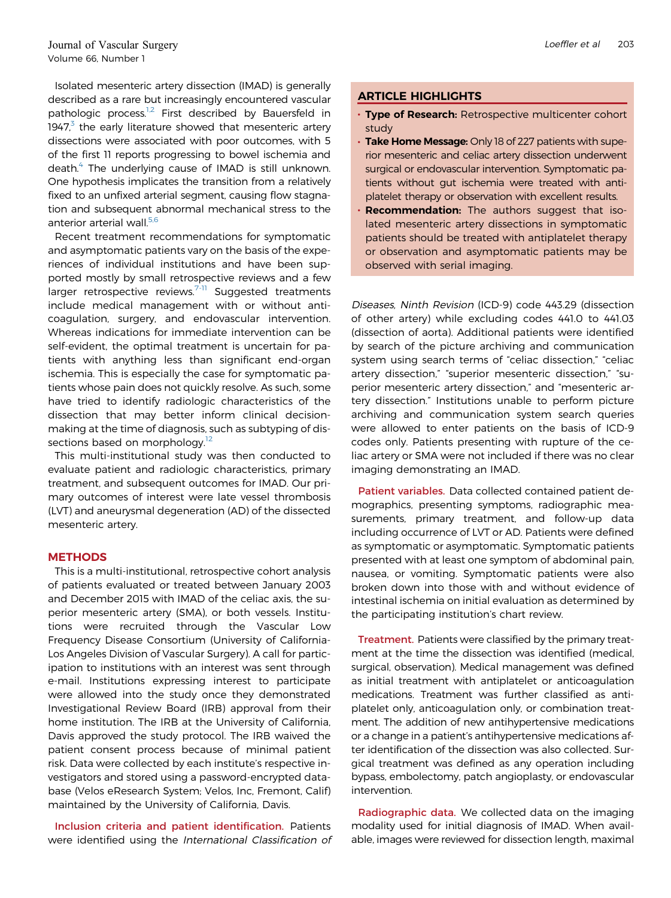Isolated mesenteric artery dissection (IMAD) is generally described as a rare but increasingly encountered vascular pathologic process.<sup>[1,2](#page-6-0)</sup> First described by Bauersfeld in 1947, $3$  the early literature showed that mesenteric artery dissections were associated with poor outcomes, with 5 of the first 11 reports progressing to bowel ischemia and death.[4](#page-6-0) The underlying cause of IMAD is still unknown. One hypothesis implicates the transition from a relatively fixed to an unfixed arterial segment, causing flow stagnation and subsequent abnormal mechanical stress to the anterior arterial wall.<sup>5,6</sup>

Recent treatment recommendations for symptomatic and asymptomatic patients vary on the basis of the experiences of individual institutions and have been supported mostly by small retrospective reviews and a few larger retrospective reviews.<sup>[7-11](#page-6-0)</sup> Suggested treatments include medical management with or without anticoagulation, surgery, and endovascular intervention. Whereas indications for immediate intervention can be self-evident, the optimal treatment is uncertain for patients with anything less than significant end-organ ischemia. This is especially the case for symptomatic patients whose pain does not quickly resolve. As such, some have tried to identify radiologic characteristics of the dissection that may better inform clinical decisionmaking at the time of diagnosis, such as subtyping of dis-sections based on morphology.<sup>[12](#page-6-0)</sup>

This multi-institutional study was then conducted to evaluate patient and radiologic characteristics, primary treatment, and subsequent outcomes for IMAD. Our primary outcomes of interest were late vessel thrombosis (LVT) and aneurysmal degeneration (AD) of the dissected mesenteric artery.

# **METHODS**

This is a multi-institutional, retrospective cohort analysis of patients evaluated or treated between January 2003 and December 2015 with IMAD of the celiac axis, the superior mesenteric artery (SMA), or both vessels. Institutions were recruited through the Vascular Low Frequency Disease Consortium (University of California-Los Angeles Division of Vascular Surgery). A call for participation to institutions with an interest was sent through e-mail. Institutions expressing interest to participate were allowed into the study once they demonstrated Investigational Review Board (IRB) approval from their home institution. The IRB at the University of California, Davis approved the study protocol. The IRB waived the patient consent process because of minimal patient risk. Data were collected by each institute's respective investigators and stored using a password-encrypted database (Velos eResearch System; Velos, Inc, Fremont, Calif) maintained by the University of California, Davis.

Inclusion criteria and patient identification. Patients were identified using the International Classification of

# ARTICLE HIGHLIGHTS

- Type of Research: Retrospective multicenter cohort study
- Take Home Message: Only 18 of 227 patients with superior mesenteric and celiac artery dissection underwent surgical or endovascular intervention. Symptomatic patients without gut ischemia were treated with antiplatelet therapy or observation with excellent results.
- . Recommendation: The authors suggest that isolated mesenteric artery dissections in symptomatic patients should be treated with antiplatelet therapy or observation and asymptomatic patients may be observed with serial imaging.

Diseases, Ninth Revision (ICD-9) code 443.29 (dissection of other artery) while excluding codes 441.0 to 441.03 (dissection of aorta). Additional patients were identified by search of the picture archiving and communication system using search terms of "celiac dissection," "celiac artery dissection," "superior mesenteric dissection," "superior mesenteric artery dissection," and "mesenteric artery dissection." Institutions unable to perform picture archiving and communication system search queries were allowed to enter patients on the basis of ICD-9 codes only. Patients presenting with rupture of the celiac artery or SMA were not included if there was no clear imaging demonstrating an IMAD.

Patient variables. Data collected contained patient demographics, presenting symptoms, radiographic measurements, primary treatment, and follow-up data including occurrence of LVT or AD. Patients were defined as symptomatic or asymptomatic. Symptomatic patients presented with at least one symptom of abdominal pain, nausea, or vomiting. Symptomatic patients were also broken down into those with and without evidence of intestinal ischemia on initial evaluation as determined by the participating institution's chart review.

Treatment. Patients were classified by the primary treatment at the time the dissection was identified (medical, surgical, observation). Medical management was defined as initial treatment with antiplatelet or anticoagulation medications. Treatment was further classified as antiplatelet only, anticoagulation only, or combination treatment. The addition of new antihypertensive medications or a change in a patient's antihypertensive medications after identification of the dissection was also collected. Surgical treatment was defined as any operation including bypass, embolectomy, patch angioplasty, or endovascular intervention.

Radiographic data. We collected data on the imaging modality used for initial diagnosis of IMAD. When available, images were reviewed for dissection length, maximal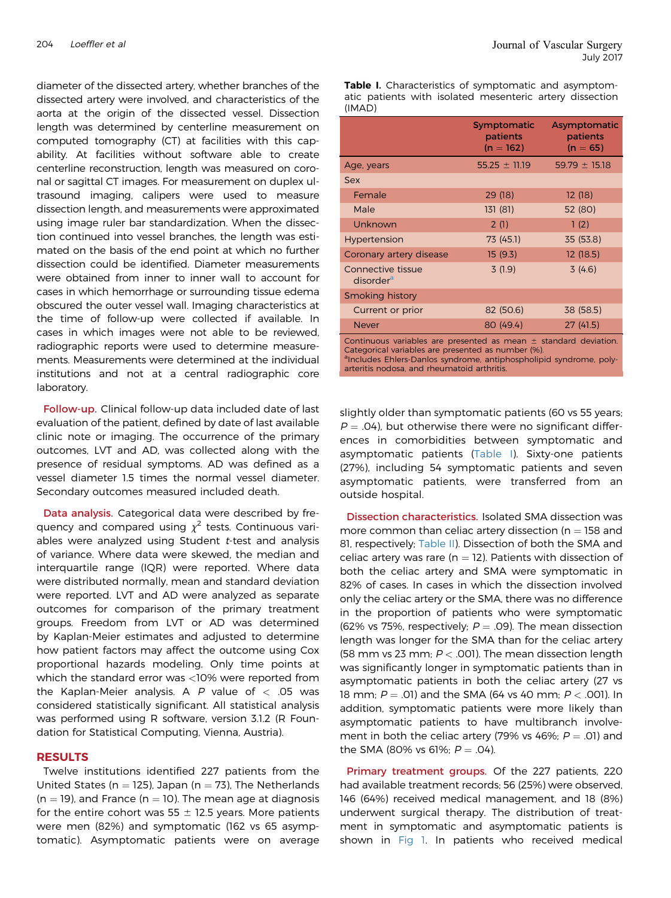diameter of the dissected artery, whether branches of the dissected artery were involved, and characteristics of the aorta at the origin of the dissected vessel. Dissection length was determined by centerline measurement on computed tomography (CT) at facilities with this capability. At facilities without software able to create centerline reconstruction, length was measured on coronal or sagittal CT images. For measurement on duplex ultrasound imaging, calipers were used to measure dissection length, and measurements were approximated using image ruler bar standardization. When the dissection continued into vessel branches, the length was estimated on the basis of the end point at which no further dissection could be identified. Diameter measurements were obtained from inner to inner wall to account for cases in which hemorrhage or surrounding tissue edema obscured the outer vessel wall. Imaging characteristics at the time of follow-up were collected if available. In cases in which images were not able to be reviewed, radiographic reports were used to determine measurements. Measurements were determined at the individual institutions and not at a central radiographic core laboratory.

Follow-up. Clinical follow-up data included date of last evaluation of the patient, defined by date of last available clinic note or imaging. The occurrence of the primary outcomes, LVT and AD, was collected along with the presence of residual symptoms. AD was defined as a vessel diameter 1.5 times the normal vessel diameter. Secondary outcomes measured included death.

Data analysis. Categorical data were described by frequency and compared using  $\chi^2$  tests. Continuous variables were analyzed using Student t-test and analysis of variance. Where data were skewed, the median and interquartile range (IQR) were reported. Where data were distributed normally, mean and standard deviation were reported. LVT and AD were analyzed as separate outcomes for comparison of the primary treatment groups. Freedom from LVT or AD was determined by Kaplan-Meier estimates and adjusted to determine how patient factors may affect the outcome using Cox proportional hazards modeling. Only time points at which the standard error was <10% were reported from the Kaplan-Meier analysis. A P value of  $<$  05 was considered statistically significant. All statistical analysis was performed using R software, version 3.1.2 (R Foundation for Statistical Computing, Vienna, Austria).

### RESULTS

Twelve institutions identified 227 patients from the United States (n = 125), Japan (n = 73), The Netherlands  $(n = 19)$ , and France  $(n = 10)$ . The mean age at diagnosis for the entire cohort was  $55 \pm 12.5$  years. More patients were men (82%) and symptomatic (162 vs 65 asymptomatic). Asymptomatic patients were on average

|        |  | Table I. Characteristics of symptomatic and asymptom-    |  |
|--------|--|----------------------------------------------------------|--|
|        |  | atic patients with isolated mesenteric artery dissection |  |
| (IMAD) |  |                                                          |  |

|                                                                                                                                                                                                                                               | Symptomatic<br>patients<br>$(n = 162)$ | Asymptomatic<br>patients<br>$(n = 65)$ |  |  |
|-----------------------------------------------------------------------------------------------------------------------------------------------------------------------------------------------------------------------------------------------|----------------------------------------|----------------------------------------|--|--|
| Age, years                                                                                                                                                                                                                                    | $55.25 \pm 11.19$                      | $59.79 \pm 15.18$                      |  |  |
| <b>Sex</b>                                                                                                                                                                                                                                    |                                        |                                        |  |  |
| Female                                                                                                                                                                                                                                        | 29 (18)                                | 12(18)                                 |  |  |
| Male                                                                                                                                                                                                                                          | 131(81)                                | 52 (80)                                |  |  |
| Unknown                                                                                                                                                                                                                                       | 2(1)                                   | 1(2)                                   |  |  |
| Hypertension                                                                                                                                                                                                                                  | 73 (45.1)                              | 35 (53.8)                              |  |  |
| Coronary artery disease                                                                                                                                                                                                                       | 15(9.3)                                | 12(18.5)                               |  |  |
| Connective tissue<br>disorder <sup>a</sup>                                                                                                                                                                                                    | 3(1.9)                                 | 3(4.6)                                 |  |  |
| Smoking history                                                                                                                                                                                                                               |                                        |                                        |  |  |
| Current or prior                                                                                                                                                                                                                              | 82 (50.6)                              | 38 (58.5)                              |  |  |
| <b>Never</b>                                                                                                                                                                                                                                  | 80 (49.4)                              | 27(41.5)                               |  |  |
| Continuous variables are presented as mean $\pm$ standard deviation.<br>Categorical variables are presented as number (%).<br>المناجحين والمتحادات والمناقب المناقبة والمتحاد والمنتقصات والمحادثات والمستحد والمتحاكل والمتحادثات والمتناقبة |                                        |                                        |  |  |

aIncludes Ehlers-Danlos syndrome, antiphospholipid syndrome, polyarteritis nodosa, and rheumatoid arthritis.

slightly older than symptomatic patients (60 vs 55 years;  $P = .04$ ), but otherwise there were no significant differences in comorbidities between symptomatic and asymptomatic patients (Table I). Sixty-one patients (27%), including 54 symptomatic patients and seven asymptomatic patients, were transferred from an outside hospital.

Dissection characteristics. Isolated SMA dissection was more common than celiac artery dissection ( $n = 158$  and 81, respectively; [Table II\)](#page-3-0). Dissection of both the SMA and celiac artery was rare ( $n = 12$ ). Patients with dissection of both the celiac artery and SMA were symptomatic in 82% of cases. In cases in which the dissection involved only the celiac artery or the SMA, there was no difference in the proportion of patients who were symptomatic (62% vs 75%, respectively;  $P = .09$ ). The mean dissection length was longer for the SMA than for the celiac artery (58 mm vs 23 mm;  $P <$  .001). The mean dissection length was significantly longer in symptomatic patients than in asymptomatic patients in both the celiac artery (27 vs 18 mm;  $P = .01$ ) and the SMA (64 vs 40 mm;  $P < .001$ ). In addition, symptomatic patients were more likely than asymptomatic patients to have multibranch involvement in both the celiac artery (79% vs 46%;  $P = .01$ ) and the SMA (80% vs 61%;  $P = .04$ ).

Primary treatment groups. Of the 227 patients, 220 had available treatment records; 56 (25%) were observed, 146 (64%) received medical management, and 18 (8%) underwent surgical therapy. The distribution of treatment in symptomatic and asymptomatic patients is shown in [Fig 1.](#page-3-0) In patients who received medical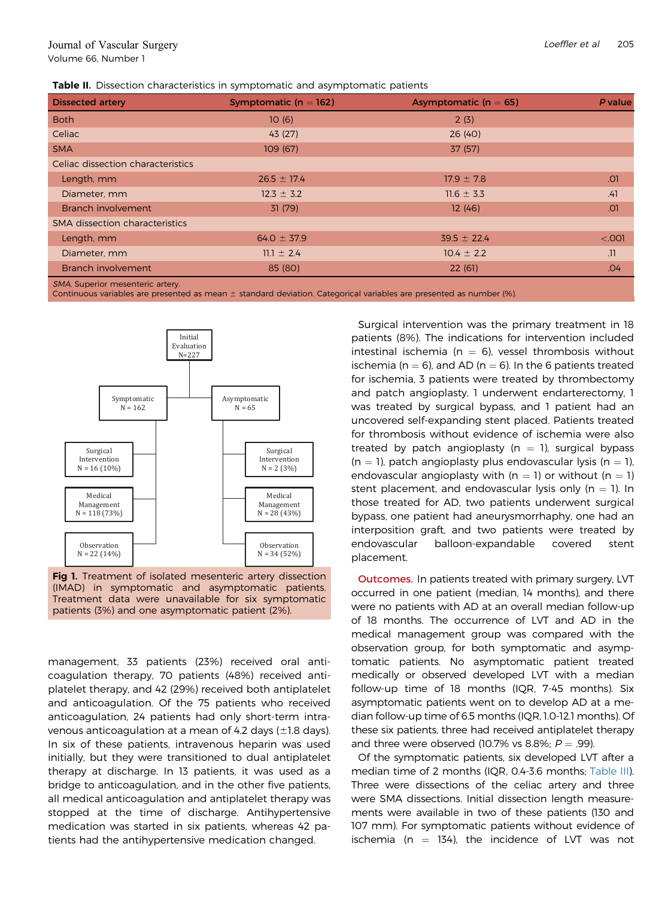<span id="page-3-0"></span>

| <b>Dissected artery</b>           | Symptomatic ( $n = 162$ ) | Asymptomatic ( $n = 65$ ) | P value |
|-----------------------------------|---------------------------|---------------------------|---------|
| <b>Both</b>                       | 10(6)                     | 2(3)                      |         |
| Celiac                            | 43 (27)                   | 26(40)                    |         |
| <b>SMA</b>                        | 109(67)                   | 37 (57)                   |         |
| Celiac dissection characteristics |                           |                           |         |
| Length, mm                        | $26.5 \pm 17.4$           | $17.9 \pm 7.8$            | .01     |
| Diameter, mm                      | $12.3 \pm 3.2$            | $11.6 \pm 3.3$            | .41     |
| Branch involvement                | 31(79)                    | 12(46)                    | .OI     |
| SMA dissection characteristics    |                           |                           |         |
| Length, mm                        | $64.0 \pm 37.9$           | $39.5 \pm 22.4$           | < 0.001 |
| Diameter, mm                      | $11.1 \pm 2.4$            | $10.4 \pm 2.2$            | .11     |
| Branch involvement                | 85 (80)                   | 22(61)                    | .04     |
|                                   |                           |                           |         |

SMA, Superior mesenteric artery.

Continuous variables are presented as mean  $\pm$  standard deviation. Categorical variables are presented as number (%).



Fig 1. Treatment of isolated mesenteric artery dissection (IMAD) in symptomatic and asymptomatic patients. Treatment data were unavailable for six symptomatic patients (3%) and one asymptomatic patient (2%).

management, 33 patients (23%) received oral anticoagulation therapy, 70 patients (48%) received antiplatelet therapy, and 42 (29%) received both antiplatelet and anticoagulation. Of the 75 patients who received anticoagulation, 24 patients had only short-term intravenous anticoagulation at a mean of 4.2 days  $(\pm 1.8 \text{ days})$ . In six of these patients, intravenous heparin was used initially, but they were transitioned to dual antiplatelet therapy at discharge. In 13 patients, it was used as a bridge to anticoagulation, and in the other five patients, all medical anticoagulation and antiplatelet therapy was stopped at the time of discharge. Antihypertensive medication was started in six patients, whereas 42 patients had the antihypertensive medication changed.

Surgical intervention was the primary treatment in 18 patients (8%). The indications for intervention included intestinal ischemia ( $n = 6$ ), vessel thrombosis without ischemia (n = 6), and AD (n = 6). In the 6 patients treated for ischemia, 3 patients were treated by thrombectomy and patch angioplasty, 1 underwent endarterectomy, 1 was treated by surgical bypass, and 1 patient had an uncovered self-expanding stent placed. Patients treated for thrombosis without evidence of ischemia were also treated by patch angioplasty ( $n = 1$ ), surgical bypass  $(n = 1)$ , patch angioplasty plus endovascular lysis  $(n = 1)$ , endovascular angioplasty with  $(n = 1)$  or without  $(n = 1)$ stent placement, and endovascular lysis only ( $n = 1$ ). In those treated for AD, two patients underwent surgical bypass, one patient had aneurysmorrhaphy, one had an interposition graft, and two patients were treated by endovascular balloon-expandable covered stent placement.

Outcomes. In patients treated with primary surgery, LVT occurred in one patient (median, 14 months), and there were no patients with AD at an overall median follow-up of 18 months. The occurrence of LVT and AD in the medical management group was compared with the observation group, for both symptomatic and asymptomatic patients. No asymptomatic patient treated medically or observed developed LVT with a median follow-up time of 18 months (IQR, 7-45 months). Six asymptomatic patients went on to develop AD at a median follow-up time of 6.5 months (IQR, 1.0-12.1 months). Of these six patients, three had received antiplatelet therapy and three were observed (10.7% vs 8.8%;  $P = .99$ ).

Of the symptomatic patients, six developed LVT after a median time of 2 months (IQR, 0.4-3.6 months; [Table III](#page-4-0)). Three were dissections of the celiac artery and three were SMA dissections. Initial dissection length measurements were available in two of these patients (130 and 107 mm). For symptomatic patients without evidence of ischemia (n  $=$  134), the incidence of LVT was not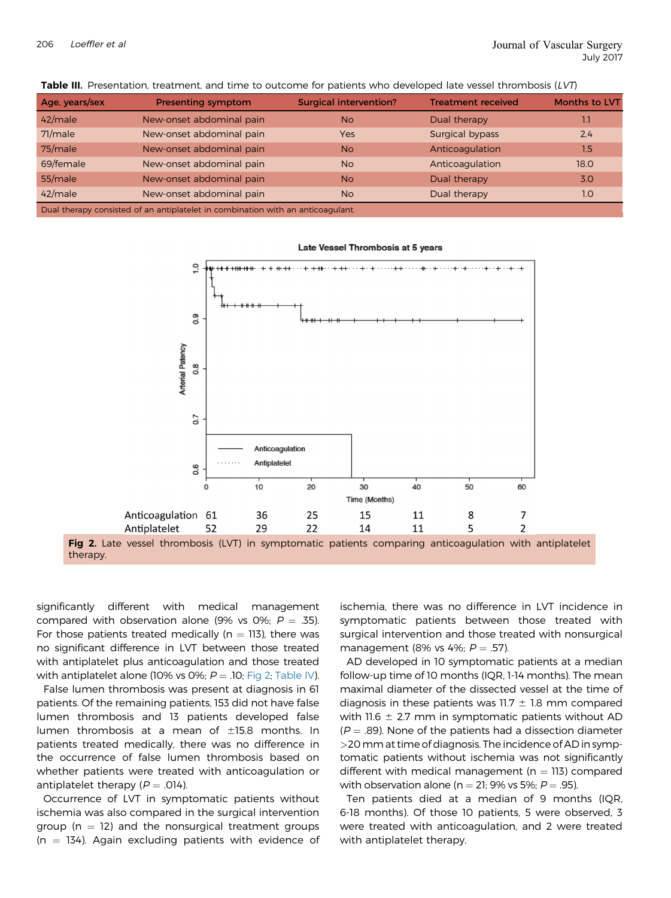<span id="page-4-0"></span>Table III. Presentation, treatment, and time to outcome for patients who developed late vessel thrombosis (LVT)

| Age, years/sex                                                                  | Presenting symptom       | <b>Surgical intervention?</b> | <b>Treatment received</b> | <b>Months to LVT</b> |  |
|---------------------------------------------------------------------------------|--------------------------|-------------------------------|---------------------------|----------------------|--|
| 42/male                                                                         | New-onset abdominal pain | <b>No</b>                     | Dual therapy              | 1.1                  |  |
| 71/male                                                                         | New-onset abdominal pain | <b>Yes</b>                    | Surgical bypass           | 2.4                  |  |
| 75/male                                                                         | New-onset abdominal pain | <b>No</b>                     | Anticoagulation           | 1.5                  |  |
| 69/female                                                                       | New-onset abdominal pain | <b>No</b>                     | Anticoagulation           | 18.0                 |  |
| 55/male                                                                         | New-onset abdominal pain | <b>No</b>                     | Dual therapy              | 3.0                  |  |
| 42/male                                                                         | New-onset abdominal pain | <b>No</b>                     | Dual therapy              | 1.0                  |  |
| Dual therapy consisted of an antiplatelet in combination with an anticoagulant. |                          |                               |                           |                      |  |



#### Late Vessel Thrombosis at 5 years

significantly different with medical management compared with observation alone (9% vs 0%;  $P = .35$ ). For those patients treated medically ( $n = 113$ ), there was no significant difference in LVT between those treated with antiplatelet plus anticoagulation and those treated with antiplatelet alone (10% vs 0%;  $P = .10$ ; Fig 2; [Table IV\)](#page-5-0).

False lumen thrombosis was present at diagnosis in 61 patients. Of the remaining patients, 153 did not have false lumen thrombosis and 13 patients developed false lumen thrombosis at a mean of  $\pm 15.8$  months. In patients treated medically, there was no difference in the occurrence of false lumen thrombosis based on whether patients were treated with anticoagulation or antiplatelet therapy  $(P = .014)$ .

Occurrence of LVT in symptomatic patients without ischemia was also compared in the surgical intervention group ( $n = 12$ ) and the nonsurgical treatment groups  $(n = 134)$ . Again excluding patients with evidence of ischemia, there was no difference in LVT incidence in symptomatic patients between those treated with surgical intervention and those treated with nonsurgical management (8% vs 4%;  $P = .57$ ).

AD developed in 10 symptomatic patients at a median follow-up time of 10 months (IQR, 1-14 months). The mean maximal diameter of the dissected vessel at the time of diagnosis in these patients was 11.7  $\pm$  1.8 mm compared with 11.6  $\pm$  2.7 mm in symptomatic patients without AD  $(P = .89)$ . None of the patients had a dissection diameter >20mm at time of diagnosis. The incidence of AD in symptomatic patients without ischemia was not significantly different with medical management ( $n = 113$ ) compared with observation alone (n = 21; 9% vs 5%;  $P = .95$ ).

Ten patients died at a median of 9 months (IQR, 6-18 months). Of those 10 patients, 5 were observed, 3 were treated with anticoagulation, and 2 were treated with antiplatelet therapy.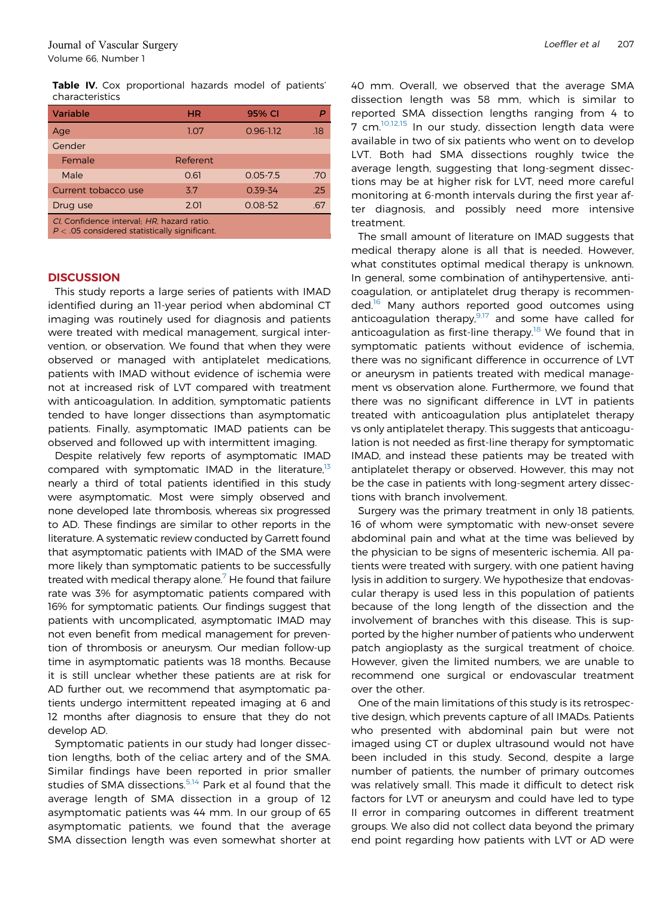<span id="page-5-0"></span>Table IV. Cox proportional hazards model of patients' characteristics

| Variable                                   | <b>HR</b> | 95% CI        |     |
|--------------------------------------------|-----------|---------------|-----|
| Age                                        | 1.07      | $0.96 - 1.12$ | .18 |
| Gender                                     |           |               |     |
| Female                                     | Referent  |               |     |
| Male                                       | 0.61      | $0.05 - 7.5$  | .70 |
| Current tobacco use                        | 3.7       | 0.39-34       | .25 |
| Drug use                                   | 2.01      | $0.08 - 52$   | .67 |
| CI, Confidence interval; HR, hazard ratio. |           |               |     |

 $P < .05$  considered statistically significant.

# **DISCUSSION**

This study reports a large series of patients with IMAD identified during an 11-year period when abdominal CT imaging was routinely used for diagnosis and patients were treated with medical management, surgical intervention, or observation. We found that when they were observed or managed with antiplatelet medications, patients with IMAD without evidence of ischemia were not at increased risk of LVT compared with treatment with anticoagulation. In addition, symptomatic patients tended to have longer dissections than asymptomatic patients. Finally, asymptomatic IMAD patients can be observed and followed up with intermittent imaging.

Despite relatively few reports of asymptomatic IMAD compared with symptomatic IMAD in the literature,  $13$ nearly a third of total patients identified in this study were asymptomatic. Most were simply observed and none developed late thrombosis, whereas six progressed to AD. These findings are similar to other reports in the literature. A systematic review conducted by Garrett found that asymptomatic patients with IMAD of the SMA were more likely than symptomatic patients to be successfully treated with medical therapy alone.<sup>[7](#page-6-0)</sup> He found that failure rate was 3% for asymptomatic patients compared with 16% for symptomatic patients. Our findings suggest that patients with uncomplicated, asymptomatic IMAD may not even benefit from medical management for prevention of thrombosis or aneurysm. Our median follow-up time in asymptomatic patients was 18 months. Because it is still unclear whether these patients are at risk for AD further out, we recommend that asymptomatic patients undergo intermittent repeated imaging at 6 and 12 months after diagnosis to ensure that they do not develop AD.

Symptomatic patients in our study had longer dissection lengths, both of the celiac artery and of the SMA. Similar findings have been reported in prior smaller studies of SMA dissections.<sup>[5,14](#page-6-0)</sup> Park et al found that the average length of SMA dissection in a group of 12 asymptomatic patients was 44 mm. In our group of 65 asymptomatic patients, we found that the average SMA dissection length was even somewhat shorter at 40 mm. Overall, we observed that the average SMA dissection length was 58 mm, which is similar to reported SMA dissection lengths ranging from 4 to 7 cm.<sup>[10,12,15](#page-6-0)</sup> In our study, dissection length data were available in two of six patients who went on to develop LVT. Both had SMA dissections roughly twice the average length, suggesting that long-segment dissections may be at higher risk for LVT, need more careful monitoring at 6-month intervals during the first year after diagnosis, and possibly need more intensive treatment.

The small amount of literature on IMAD suggests that medical therapy alone is all that is needed. However, what constitutes optimal medical therapy is unknown. In general, some combination of antihypertensive, anticoagulation, or antiplatelet drug therapy is recommended.<sup>16</sup> Many authors reported good outcomes using anticoagulation therapy, $9.17$  and some have called for anticoagulation as first-line therapy.<sup>[18](#page-6-0)</sup> We found that in symptomatic patients without evidence of ischemia, there was no significant difference in occurrence of LVT or aneurysm in patients treated with medical management vs observation alone. Furthermore, we found that there was no significant difference in LVT in patients treated with anticoagulation plus antiplatelet therapy vs only antiplatelet therapy. This suggests that anticoagulation is not needed as first-line therapy for symptomatic IMAD, and instead these patients may be treated with antiplatelet therapy or observed. However, this may not be the case in patients with long-segment artery dissections with branch involvement.

Surgery was the primary treatment in only 18 patients, 16 of whom were symptomatic with new-onset severe abdominal pain and what at the time was believed by the physician to be signs of mesenteric ischemia. All patients were treated with surgery, with one patient having lysis in addition to surgery. We hypothesize that endovascular therapy is used less in this population of patients because of the long length of the dissection and the involvement of branches with this disease. This is supported by the higher number of patients who underwent patch angioplasty as the surgical treatment of choice. However, given the limited numbers, we are unable to recommend one surgical or endovascular treatment over the other.

One of the main limitations of this study is its retrospective design, which prevents capture of all IMADs. Patients who presented with abdominal pain but were not imaged using CT or duplex ultrasound would not have been included in this study. Second, despite a large number of patients, the number of primary outcomes was relatively small. This made it difficult to detect risk factors for LVT or aneurysm and could have led to type II error in comparing outcomes in different treatment groups. We also did not collect data beyond the primary end point regarding how patients with LVT or AD were